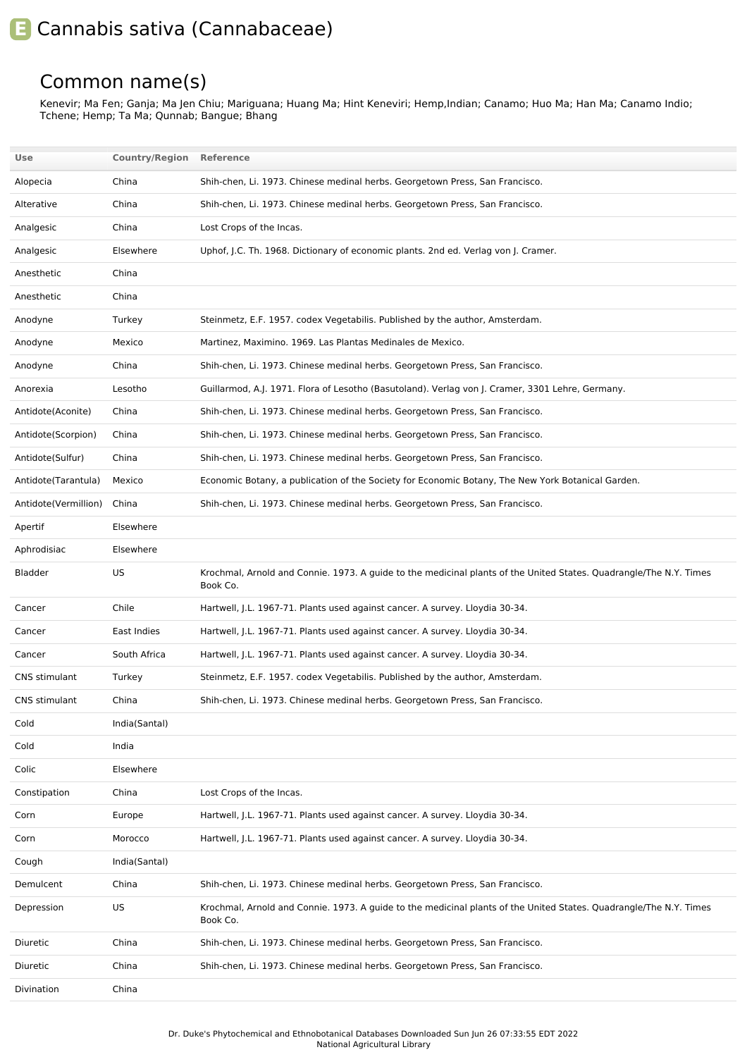## **E** Cannabis sativa (Cannabaceae)

## Common name(s)

Kenevir; Ma Fen; Ganja; Ma Jen Chiu; Mariguana; Huang Ma; Hint Keneviri; Hemp,Indian; Canamo; Huo Ma; Han Ma; Canamo Indio; Tchene; Hemp; Ta Ma; Qunnab; Bangue; Bhang

| Use                  | <b>Country/Region</b> | Reference                                                                                                                      |
|----------------------|-----------------------|--------------------------------------------------------------------------------------------------------------------------------|
| Alopecia             | China                 | Shih-chen, Li. 1973. Chinese medinal herbs. Georgetown Press, San Francisco.                                                   |
| Alterative           | China                 | Shih-chen, Li. 1973. Chinese medinal herbs. Georgetown Press, San Francisco.                                                   |
| Analgesic            | China                 | Lost Crops of the Incas.                                                                                                       |
| Analgesic            | Elsewhere             | Uphof, J.C. Th. 1968. Dictionary of economic plants. 2nd ed. Verlag von J. Cramer.                                             |
| Anesthetic           | China                 |                                                                                                                                |
| Anesthetic           | China                 |                                                                                                                                |
| Anodyne              | Turkey                | Steinmetz, E.F. 1957. codex Vegetabilis. Published by the author, Amsterdam.                                                   |
| Anodyne              | Mexico                | Martinez, Maximino. 1969. Las Plantas Medinales de Mexico.                                                                     |
| Anodyne              | China                 | Shih-chen, Li. 1973. Chinese medinal herbs. Georgetown Press, San Francisco.                                                   |
| Anorexia             | Lesotho               | Guillarmod, A.J. 1971. Flora of Lesotho (Basutoland). Verlag von J. Cramer, 3301 Lehre, Germany.                               |
| Antidote(Aconite)    | China                 | Shih-chen, Li. 1973. Chinese medinal herbs. Georgetown Press, San Francisco.                                                   |
| Antidote(Scorpion)   | China                 | Shih-chen, Li. 1973. Chinese medinal herbs. Georgetown Press, San Francisco.                                                   |
| Antidote(Sulfur)     | China                 | Shih-chen, Li. 1973. Chinese medinal herbs. Georgetown Press, San Francisco.                                                   |
| Antidote (Tarantula) | Mexico                | Economic Botany, a publication of the Society for Economic Botany, The New York Botanical Garden.                              |
| Antidote(Vermillion) | China                 | Shih-chen, Li. 1973. Chinese medinal herbs. Georgetown Press, San Francisco.                                                   |
| Apertif              | Elsewhere             |                                                                                                                                |
| Aphrodisiac          | Elsewhere             |                                                                                                                                |
| Bladder              | US                    | Krochmal, Arnold and Connie. 1973. A guide to the medicinal plants of the United States. Quadrangle/The N.Y. Times<br>Book Co. |
| Cancer               | Chile                 | Hartwell, J.L. 1967-71. Plants used against cancer. A survey. Lloydia 30-34.                                                   |
| Cancer               | East Indies           | Hartwell, J.L. 1967-71. Plants used against cancer. A survey. Lloydia 30-34.                                                   |
| Cancer               | South Africa          | Hartwell, J.L. 1967-71. Plants used against cancer. A survey. Lloydia 30-34.                                                   |
| CNS stimulant        | Turkey                | Steinmetz, E.F. 1957. codex Vegetabilis. Published by the author, Amsterdam.                                                   |
| CNS stimulant        | China                 | Shih-chen, Li. 1973. Chinese medinal herbs. Georgetown Press, San Francisco.                                                   |
| Cold                 | India(Santal)         |                                                                                                                                |
| Cold                 | India                 |                                                                                                                                |
| Colic                | Elsewhere             |                                                                                                                                |
| Constipation         | China                 | Lost Crops of the Incas.                                                                                                       |
| Corn                 | Europe                | Hartwell, J.L. 1967-71. Plants used against cancer. A survey. Lloydia 30-34.                                                   |
| Corn                 | Morocco               | Hartwell, J.L. 1967-71. Plants used against cancer. A survey. Lloydia 30-34.                                                   |
| Cough                | India(Santal)         |                                                                                                                                |
| Demulcent            | China                 | Shih-chen, Li. 1973. Chinese medinal herbs. Georgetown Press, San Francisco.                                                   |
| Depression           | US                    | Krochmal, Arnold and Connie. 1973. A guide to the medicinal plants of the United States. Quadrangle/The N.Y. Times<br>Book Co. |
| Diuretic             | China                 | Shih-chen, Li. 1973. Chinese medinal herbs. Georgetown Press, San Francisco.                                                   |
| Diuretic             | China                 | Shih-chen, Li. 1973. Chinese medinal herbs. Georgetown Press, San Francisco.                                                   |
| Divination           | China                 |                                                                                                                                |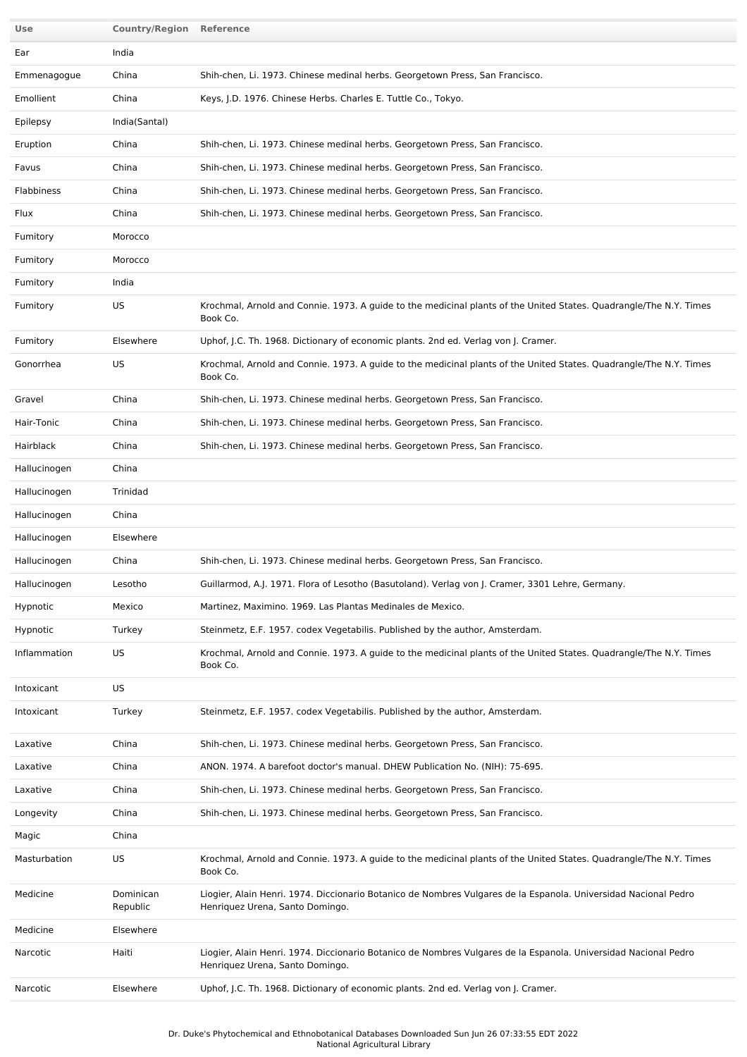| Use          | <b>Country/Region Reference</b> |                                                                                                                                                    |
|--------------|---------------------------------|----------------------------------------------------------------------------------------------------------------------------------------------------|
| Ear          | India                           |                                                                                                                                                    |
| Emmenagogue  | China                           | Shih-chen, Li. 1973. Chinese medinal herbs. Georgetown Press, San Francisco.                                                                       |
| Emollient    | China                           | Keys, J.D. 1976. Chinese Herbs. Charles E. Tuttle Co., Tokyo.                                                                                      |
| Epilepsy     | India(Santal)                   |                                                                                                                                                    |
| Eruption     | China                           | Shih-chen, Li. 1973. Chinese medinal herbs. Georgetown Press, San Francisco.                                                                       |
| Favus        | China                           | Shih-chen, Li. 1973. Chinese medinal herbs. Georgetown Press, San Francisco.                                                                       |
| Flabbiness   | China                           | Shih-chen, Li. 1973. Chinese medinal herbs. Georgetown Press, San Francisco.                                                                       |
| Flux         | China                           | Shih-chen, Li. 1973. Chinese medinal herbs. Georgetown Press, San Francisco.                                                                       |
| Fumitory     | Morocco                         |                                                                                                                                                    |
| Fumitory     | Morocco                         |                                                                                                                                                    |
| Fumitory     | India                           |                                                                                                                                                    |
| Fumitory     | US                              | Krochmal, Arnold and Connie. 1973. A guide to the medicinal plants of the United States. Quadrangle/The N.Y. Times<br>Book Co.                     |
| Fumitory     | Elsewhere                       | Uphof, J.C. Th. 1968. Dictionary of economic plants. 2nd ed. Verlag von J. Cramer.                                                                 |
| Gonorrhea    | US                              | Krochmal, Arnold and Connie. 1973. A guide to the medicinal plants of the United States. Quadrangle/The N.Y. Times<br>Book Co.                     |
| Gravel       | China                           | Shih-chen, Li. 1973. Chinese medinal herbs. Georgetown Press, San Francisco.                                                                       |
| Hair-Tonic   | China                           | Shih-chen, Li. 1973. Chinese medinal herbs. Georgetown Press, San Francisco.                                                                       |
| Hairblack    | China                           | Shih-chen, Li. 1973. Chinese medinal herbs. Georgetown Press, San Francisco.                                                                       |
| Hallucinogen | China                           |                                                                                                                                                    |
| Hallucinogen | Trinidad                        |                                                                                                                                                    |
| Hallucinogen | China                           |                                                                                                                                                    |
| Hallucinogen | Elsewhere                       |                                                                                                                                                    |
| Hallucinogen | China                           | Shih-chen, Li. 1973. Chinese medinal herbs. Georgetown Press, San Francisco.                                                                       |
| Hallucinogen | Lesotho                         | Guillarmod, A.J. 1971. Flora of Lesotho (Basutoland). Verlag von J. Cramer, 3301 Lehre, Germany.                                                   |
| Hypnotic     | Mexico                          | Martinez, Maximino. 1969. Las Plantas Medinales de Mexico.                                                                                         |
| Hypnotic     | Turkey                          | Steinmetz, E.F. 1957. codex Vegetabilis. Published by the author, Amsterdam.                                                                       |
| Inflammation | US                              | Krochmal, Arnold and Connie. 1973. A guide to the medicinal plants of the United States. Quadrangle/The N.Y. Times<br>Book Co.                     |
| Intoxicant   | US                              |                                                                                                                                                    |
| Intoxicant   | Turkey                          | Steinmetz, E.F. 1957. codex Vegetabilis. Published by the author, Amsterdam.                                                                       |
| Laxative     | China                           | Shih-chen, Li. 1973. Chinese medinal herbs. Georgetown Press, San Francisco.                                                                       |
| Laxative     | China                           | ANON. 1974. A barefoot doctor's manual. DHEW Publication No. (NIH): 75-695.                                                                        |
| Laxative     | China                           | Shih-chen, Li. 1973. Chinese medinal herbs. Georgetown Press, San Francisco.                                                                       |
| Longevity    | China                           | Shih-chen, Li. 1973. Chinese medinal herbs. Georgetown Press, San Francisco.                                                                       |
| Magic        | China                           |                                                                                                                                                    |
| Masturbation | US                              | Krochmal, Arnold and Connie. 1973. A guide to the medicinal plants of the United States. Quadrangle/The N.Y. Times<br>Book Co.                     |
| Medicine     | Dominican<br>Republic           | Liogier, Alain Henri. 1974. Diccionario Botanico de Nombres Vulgares de la Espanola. Universidad Nacional Pedro<br>Henriquez Urena, Santo Domingo. |
| Medicine     | Elsewhere                       |                                                                                                                                                    |
| Narcotic     | Haiti                           | Liogier, Alain Henri. 1974. Diccionario Botanico de Nombres Vulgares de la Espanola. Universidad Nacional Pedro<br>Henriquez Urena, Santo Domingo. |
| Narcotic     | Elsewhere                       | Uphof, J.C. Th. 1968. Dictionary of economic plants. 2nd ed. Verlag von J. Cramer.                                                                 |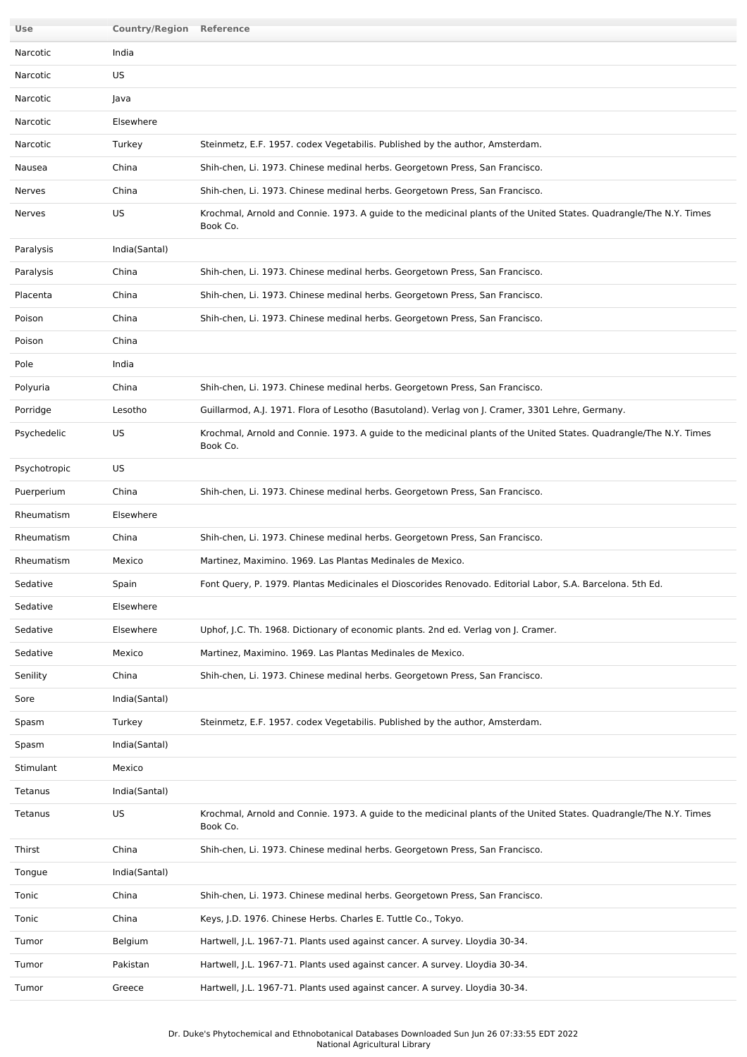| Use          | <b>Country/Region Reference</b> |                                                                                                                                |
|--------------|---------------------------------|--------------------------------------------------------------------------------------------------------------------------------|
| Narcotic     | India                           |                                                                                                                                |
| Narcotic     | US                              |                                                                                                                                |
| Narcotic     | Java                            |                                                                                                                                |
| Narcotic     | Elsewhere                       |                                                                                                                                |
| Narcotic     | Turkey                          | Steinmetz, E.F. 1957. codex Vegetabilis. Published by the author, Amsterdam.                                                   |
| Nausea       | China                           | Shih-chen, Li. 1973. Chinese medinal herbs. Georgetown Press, San Francisco.                                                   |
| Nerves       | China                           | Shih-chen, Li. 1973. Chinese medinal herbs. Georgetown Press, San Francisco.                                                   |
| Nerves       | US                              | Krochmal, Arnold and Connie. 1973. A guide to the medicinal plants of the United States. Quadrangle/The N.Y. Times<br>Book Co. |
| Paralysis    | India(Santal)                   |                                                                                                                                |
| Paralysis    | China                           | Shih-chen, Li. 1973. Chinese medinal herbs. Georgetown Press, San Francisco.                                                   |
| Placenta     | China                           | Shih-chen, Li. 1973. Chinese medinal herbs. Georgetown Press, San Francisco.                                                   |
| Poison       | China                           | Shih-chen, Li. 1973. Chinese medinal herbs. Georgetown Press, San Francisco.                                                   |
| Poison       | China                           |                                                                                                                                |
| Pole         | India                           |                                                                                                                                |
| Polyuria     | China                           | Shih-chen, Li. 1973. Chinese medinal herbs. Georgetown Press, San Francisco.                                                   |
| Porridge     | Lesotho                         | Guillarmod, A.J. 1971. Flora of Lesotho (Basutoland). Verlag von J. Cramer, 3301 Lehre, Germany.                               |
| Psychedelic  | US                              | Krochmal, Arnold and Connie. 1973. A guide to the medicinal plants of the United States. Quadrangle/The N.Y. Times<br>Book Co. |
| Psychotropic | US                              |                                                                                                                                |
| Puerperium   | China                           | Shih-chen, Li. 1973. Chinese medinal herbs. Georgetown Press, San Francisco.                                                   |
| Rheumatism   | Elsewhere                       |                                                                                                                                |
| Rheumatism   | China                           | Shih-chen, Li. 1973. Chinese medinal herbs. Georgetown Press, San Francisco.                                                   |
| Rheumatism   | Mexico                          | Martinez, Maximino. 1969. Las Plantas Medinales de Mexico.                                                                     |
| Sedative     | Spain                           | Font Query, P. 1979. Plantas Medicinales el Dioscorides Renovado. Editorial Labor, S.A. Barcelona. 5th Ed.                     |
| Sedative     | Elsewhere                       |                                                                                                                                |
| Sedative     | Elsewhere                       | Uphof, J.C. Th. 1968. Dictionary of economic plants. 2nd ed. Verlag von J. Cramer.                                             |
| Sedative     | Mexico                          | Martinez, Maximino. 1969. Las Plantas Medinales de Mexico.                                                                     |
| Senility     | China                           | Shih-chen, Li. 1973. Chinese medinal herbs. Georgetown Press, San Francisco.                                                   |
| Sore         | India(Santal)                   |                                                                                                                                |
| Spasm        | Turkey                          | Steinmetz, E.F. 1957. codex Vegetabilis. Published by the author, Amsterdam.                                                   |
| Spasm        | India(Santal)                   |                                                                                                                                |
| Stimulant    | Mexico                          |                                                                                                                                |
| Tetanus      | India(Santal)                   |                                                                                                                                |
| Tetanus      | US                              | Krochmal, Arnold and Connie. 1973. A guide to the medicinal plants of the United States. Quadrangle/The N.Y. Times<br>Book Co. |
| Thirst       | China                           | Shih-chen, Li. 1973. Chinese medinal herbs. Georgetown Press, San Francisco.                                                   |
| Tongue       | India(Santal)                   |                                                                                                                                |
| Tonic        | China                           | Shih-chen, Li. 1973. Chinese medinal herbs. Georgetown Press, San Francisco.                                                   |
| Tonic        | China                           | Keys, J.D. 1976. Chinese Herbs. Charles E. Tuttle Co., Tokyo.                                                                  |
| Tumor        | Belgium                         | Hartwell, J.L. 1967-71. Plants used against cancer. A survey. Lloydia 30-34.                                                   |
| Tumor        | Pakistan                        | Hartwell, J.L. 1967-71. Plants used against cancer. A survey. Lloydia 30-34.                                                   |
| Tumor        | Greece                          | Hartwell, J.L. 1967-71. Plants used against cancer. A survey. Lloydia 30-34.                                                   |